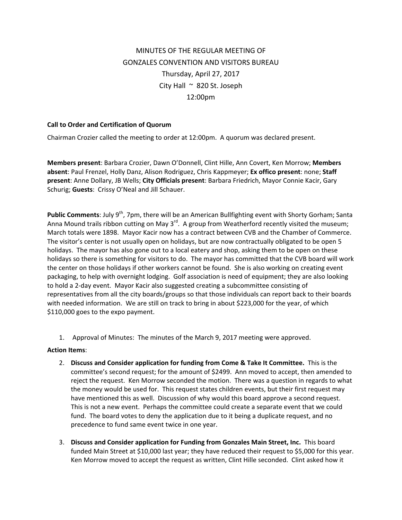## MINUTES OF THE REGULAR MEETING OF GONZALES CONVENTION AND VISITORS BUREAU Thursday, April 27, 2017 City Hall  $~\sim~$  820 St. Joseph 12:00pm

## **Call to Order and Certification of Quorum**

Chairman Crozier called the meeting to order at 12:00pm. A quorum was declared present.

**Members present**: Barbara Crozier, Dawn O'Donnell, Clint Hille, Ann Covert, Ken Morrow; **Members absent**: Paul Frenzel, Holly Danz, Alison Rodriguez, Chris Kappmeyer; **Ex offico present**: none; **Staff present**: Anne Dollary, JB Wells; **City Officials present**: Barbara Friedrich, Mayor Connie Kacir, Gary Schurig; **Guests**: Crissy O'Neal and Jill Schauer.

**Public Comments:** July 9<sup>th</sup>, 7pm, there will be an American Bullfighting event with Shorty Gorham; Santa Anna Mound trails ribbon cutting on May  $3^{rd}$ . A group from Weatherford recently visited the museum; March totals were 1898. Mayor Kacir now has a contract between CVB and the Chamber of Commerce. The visitor's center is not usually open on holidays, but are now contractually obligated to be open 5 holidays. The mayor has also gone out to a local eatery and shop, asking them to be open on these holidays so there is something for visitors to do. The mayor has committed that the CVB board will work the center on those holidays if other workers cannot be found. She is also working on creating event packaging, to help with overnight lodging. Golf association is need of equipment; they are also looking to hold a 2‐day event. Mayor Kacir also suggested creating a subcommittee consisting of representatives from all the city boards/groups so that those individuals can report back to their boards with needed information. We are still on track to bring in about \$223,000 for the year, of which \$110,000 goes to the expo payment.

1. Approval of Minutes: The minutes of the March 9, 2017 meeting were approved.

## **Action Items**:

- 2. **Discuss and Consider application for funding from Come & Take It Committee.** This is the committee's second request; for the amount of \$2499. Ann moved to accept, then amended to reject the request. Ken Morrow seconded the motion. There was a question in regards to what the money would be used for. This request states children events, but their first request may have mentioned this as well. Discussion of why would this board approve a second request. This is not a new event. Perhaps the committee could create a separate event that we could fund. The board votes to deny the application due to it being a duplicate request, and no precedence to fund same event twice in one year.
- 3. **Discuss and Consider application for Funding from Gonzales Main Street, Inc.** This board funded Main Street at \$10,000 last year; they have reduced their request to \$5,000 for this year. Ken Morrow moved to accept the request as written, Clint Hille seconded. Clint asked how it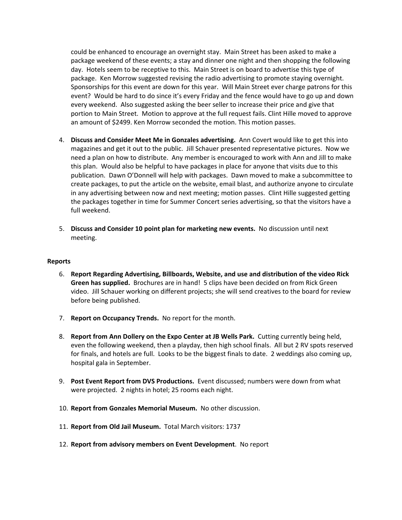could be enhanced to encourage an overnight stay. Main Street has been asked to make a package weekend of these events; a stay and dinner one night and then shopping the following day. Hotels seem to be receptive to this. Main Street is on board to advertise this type of package. Ken Morrow suggested revising the radio advertising to promote staying overnight. Sponsorships for this event are down for this year. Will Main Street ever charge patrons for this event? Would be hard to do since it's every Friday and the fence would have to go up and down every weekend. Also suggested asking the beer seller to increase their price and give that portion to Main Street. Motion to approve at the full request fails. Clint Hille moved to approve an amount of \$2499. Ken Morrow seconded the motion. This motion passes.

- 4. **Discuss and Consider Meet Me in Gonzales advertising.** Ann Covert would like to get this into magazines and get it out to the public. Jill Schauer presented representative pictures. Now we need a plan on how to distribute. Any member is encouraged to work with Ann and Jill to make this plan. Would also be helpful to have packages in place for anyone that visits due to this publication. Dawn O'Donnell will help with packages. Dawn moved to make a subcommittee to create packages, to put the article on the website, email blast, and authorize anyone to circulate in any advertising between now and next meeting; motion passes. Clint Hille suggested getting the packages together in time for Summer Concert series advertising, so that the visitors have a full weekend.
- 5. **Discuss and Consider 10 point plan for marketing new events.** No discussion until next meeting.

## **Reports**

- 6. **Report Regarding Advertising, Billboards, Website, and use and distribution of the video Rick Green has supplied.** Brochures are in hand! 5 clips have been decided on from Rick Green video. Jill Schauer working on different projects; she will send creatives to the board for review before being published.
- 7. **Report on Occupancy Trends.** No report for the month.
- 8. **Report from Ann Dollery on the Expo Center at JB Wells Park.** Cutting currently being held, even the following weekend, then a playday, then high school finals. All but 2 RV spots reserved for finals, and hotels are full. Looks to be the biggest finals to date. 2 weddings also coming up, hospital gala in September.
- 9. **Post Event Report from DVS Productions.** Event discussed; numbers were down from what were projected. 2 nights in hotel; 25 rooms each night.
- 10. **Report from Gonzales Memorial Museum.** No other discussion.
- 11. **Report from Old Jail Museum.** Total March visitors: 1737
- 12. **Report from advisory members on Event Development**. No report